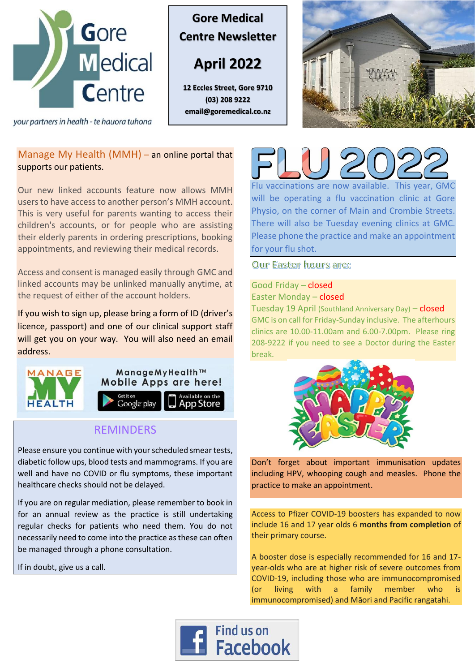

your partners in health - te hauora tuhona

**Gore Medical Centre Newsletter**

**April 2022**

**12 Eccles Street, Gore 9710 (03) 208 9222 email@goremedical.co.nz**



## Manage My Health (MMH) – an online portal that supports our patients.

Our new linked accounts feature now allows MMH users to have access to another person's MMH account. This is very useful for parents wanting to access their children's accounts, or for people who are assisting their elderly parents in ordering prescriptions, booking appointments, and reviewing their medical records.

Access and consent is managed easily through GMC and linked accounts may be unlinked manually anytime, at the request of either of the account holders.

If you wish to sign up, please bring a form of ID (driver's licence, passport) and one of our clinical support staff will get you on your way. You will also need an email address.



## REMINDERS

Please ensure you continue with your scheduled smear tests, diabetic follow ups, blood tests and mammograms. If you are well and have no COVID or flu symptoms, these important healthcare checks should not be delayed.

If you are on regular mediation, please remember to book in for an annual review as the practice is still undertaking regular checks for patients who need them. You do not necessarily need to come into the practice as these can often be managed through a phone consultation.

If in doubt, give us a call.



Flu vaccinations are now available. This year, GMC will be operating a flu vaccination clinic at Gore Physio, on the corner of Main and Crombie Streets. There will also be Tuesday evening clinics at GMC. Please phone the practice and make an appointment for your flu shot.

Our Easter hours are:

## Good Friday – closed Easter Monday – closed

Tuesday 19 April (Southland Anniversary Day) – closed GMC is on call for Friday-Sunday inclusive. The afterhours clinics are 10.00-11.00am and 6.00-7.00pm. Please ring 208-9222 if you need to see a Doctor during the Easter break.



Don't forget about important immunisation updates including HPV, whooping cough and measles. Phone the practice to make an appointment.

Access to Pfizer COVID-19 boosters has expanded to now include 16 and 17 year olds 6 **months from completion** of their primary course.

A booster dose is especially recommended for 16 and 17 year-olds who are at higher risk of severe outcomes from COVID-19, including those who are immunocompromised (or living with a family member who is immunocompromised) and Māori and Pacific rangatahi.